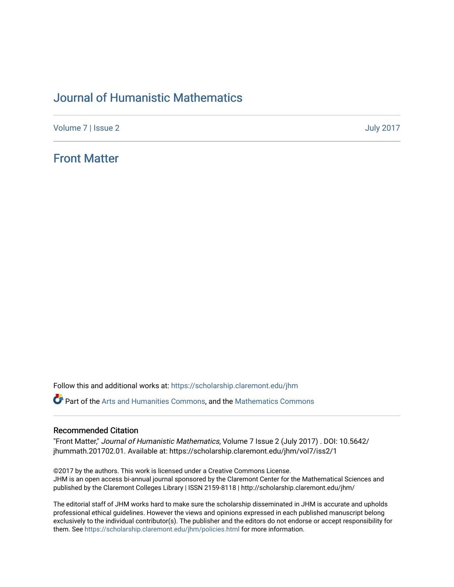## [Journal of Humanistic Mathematics](https://scholarship.claremont.edu/jhm)

[Volume 7](https://scholarship.claremont.edu/jhm/vol7) | [Issue 2](https://scholarship.claremont.edu/jhm/vol7/iss2) [July 2017](https://scholarship.claremont.edu/jhm/vol7/iss2) 

### [Front Matter](https://scholarship.claremont.edu/jhm/vol7/iss2/1)

Follow this and additional works at: [https://scholarship.claremont.edu/jhm](https://scholarship.claremont.edu/jhm?utm_source=scholarship.claremont.edu%2Fjhm%2Fvol7%2Fiss2%2F1&utm_medium=PDF&utm_campaign=PDFCoverPages)

*C* Part of the [Arts and Humanities Commons,](http://network.bepress.com/hgg/discipline/438?utm_source=scholarship.claremont.edu%2Fjhm%2Fvol7%2Fiss2%2F1&utm_medium=PDF&utm_campaign=PDFCoverPages) and the Mathematics Commons

#### Recommended Citation

"Front Matter," Journal of Humanistic Mathematics, Volume 7 Issue 2 (July 2017) . DOI: 10.5642/ jhummath.201702.01. Available at: https://scholarship.claremont.edu/jhm/vol7/iss2/1

©2017 by the authors. This work is licensed under a Creative Commons License. JHM is an open access bi-annual journal sponsored by the Claremont Center for the Mathematical Sciences and published by the Claremont Colleges Library | ISSN 2159-8118 | http://scholarship.claremont.edu/jhm/

The editorial staff of JHM works hard to make sure the scholarship disseminated in JHM is accurate and upholds professional ethical guidelines. However the views and opinions expressed in each published manuscript belong exclusively to the individual contributor(s). The publisher and the editors do not endorse or accept responsibility for them. See<https://scholarship.claremont.edu/jhm/policies.html> for more information.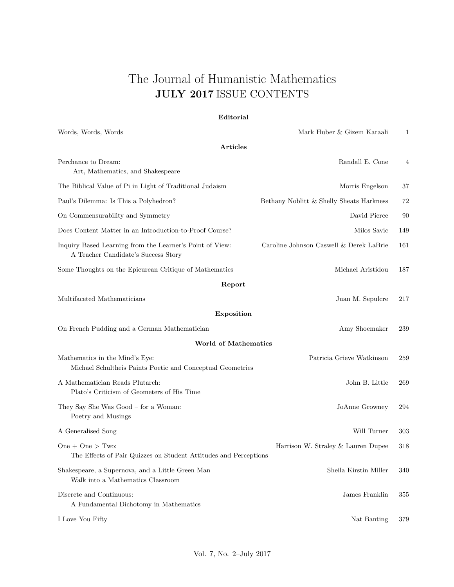## The Journal of Humanistic Mathematics JULY 2017 ISSUE CONTENTS

#### Editorial

| Words, Words, Words                                                                             | Mark Huber & Gizem Karaali               | 1   |
|-------------------------------------------------------------------------------------------------|------------------------------------------|-----|
| Articles                                                                                        |                                          |     |
| Perchance to Dream:<br>Art, Mathematics, and Shakespeare                                        | Randall E. Cone                          | 4   |
| The Biblical Value of Pi in Light of Traditional Judaism                                        | Morris Engelson                          | 37  |
| Paul's Dilemma: Is This a Polyhedron?                                                           | Bethany Noblitt & Shelly Sheats Harkness | 72  |
| On Commensurability and Symmetry                                                                | David Pierce                             | 90  |
| Does Content Matter in an Introduction-to-Proof Course?                                         | Milos Savic                              | 149 |
| Inquiry Based Learning from the Learner's Point of View:<br>A Teacher Candidate's Success Story | Caroline Johnson Caswell & Derek LaBrie  | 161 |
| Some Thoughts on the Epicurean Critique of Mathematics                                          | Michael Aristidou                        | 187 |
| Report                                                                                          |                                          |     |
| Multifaceted Mathematicians                                                                     | Juan M. Sepulcre                         | 217 |
| Exposition                                                                                      |                                          |     |
| On French Pudding and a German Mathematician                                                    | Amy Shoemaker                            | 239 |
| <b>World of Mathematics</b>                                                                     |                                          |     |
| Mathematics in the Mind's Eye:<br>Michael Schultheis Paints Poetic and Conceptual Geometries    | Patricia Grieve Watkinson                | 259 |
| A Mathematician Reads Plutarch:<br>Plato's Criticism of Geometers of His Time                   | John B. Little                           | 269 |
| They Say She Was Good - for a Woman:<br>Poetry and Musings                                      | JoAnne Growney                           | 294 |
| A Generalised Song                                                                              | Will Turner                              | 303 |
| $One + One > Two:$<br>The Effects of Pair Quizzes on Student Attitudes and Perceptions          | Harrison W. Straley & Lauren Dupee       | 318 |
| Shakespeare, a Supernova, and a Little Green Man<br>Walk into a Mathematics Classroom           | Sheila Kirstin Miller                    | 340 |
| Discrete and Continuous:<br>A Fundamental Dichotomy in Mathematics                              | James Franklin                           | 355 |
| I Love You Fifty                                                                                | Nat Banting                              | 379 |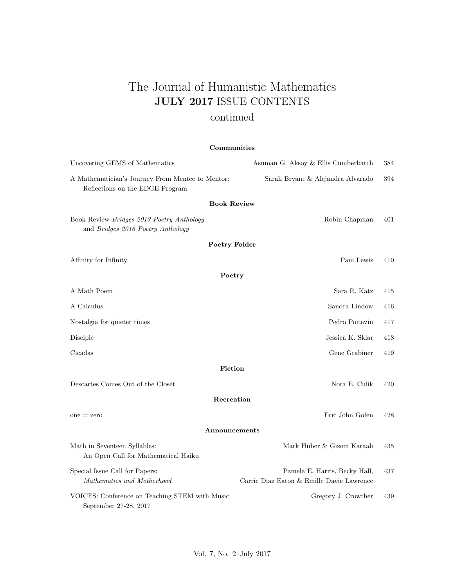# The Journal of Humanistic Mathematics JULY 2017 ISSUE CONTENTS

## continued

#### Communities

| Uncovering GEMS of Mathematics                                                      | Asuman G. Aksoy & Ellis Cumberbatch                                        | 384 |
|-------------------------------------------------------------------------------------|----------------------------------------------------------------------------|-----|
| A Mathematician's Journey From Mentee to Mentor:<br>Reflections on the EDGE Program | Sarah Bryant & Alejandra Alvarado                                          | 394 |
| <b>Book Review</b>                                                                  |                                                                            |     |
| Book Review Bridges 2013 Poetry Anthology<br>and Bridges 2016 Poetry Anthology      | Robin Chapman                                                              | 401 |
| Poetry Folder                                                                       |                                                                            |     |
| Affinity for Infinity                                                               | Pam Lewis                                                                  | 410 |
| Poetry                                                                              |                                                                            |     |
| A Math Poem                                                                         | Sara R. Katz                                                               | 415 |
| A Calculus                                                                          | Sandra Lindow                                                              | 416 |
| Nostalgia for quieter times                                                         | Pedro Poitevin                                                             | 417 |
| Disciple                                                                            | Jessica K. Sklar                                                           | 418 |
| Cicadas                                                                             | Gene Grabiner                                                              | 419 |
| Fiction                                                                             |                                                                            |     |
| Descartes Comes Out of the Closet                                                   | Nora E. Culik                                                              | 420 |
| Recreation                                                                          |                                                                            |     |
| $one = zero$                                                                        | Eric John Gofen                                                            | 428 |
| Announcements                                                                       |                                                                            |     |
| Math in Seventeen Syllables:<br>An Open Call for Mathematical Haiku                 | Mark Huber & Gizem Karaali                                                 | 435 |
| Special Issue Call for Papers:<br>Mathematics and Motherhood                        | Pamela E. Harris, Becky Hall,<br>Carrie Diaz Eaton & Emille Davie Lawrence | 437 |
| VOICES: Conference on Teaching STEM with Music<br>September 27-28, 2017             | Gregory J. Crowther                                                        | 439 |